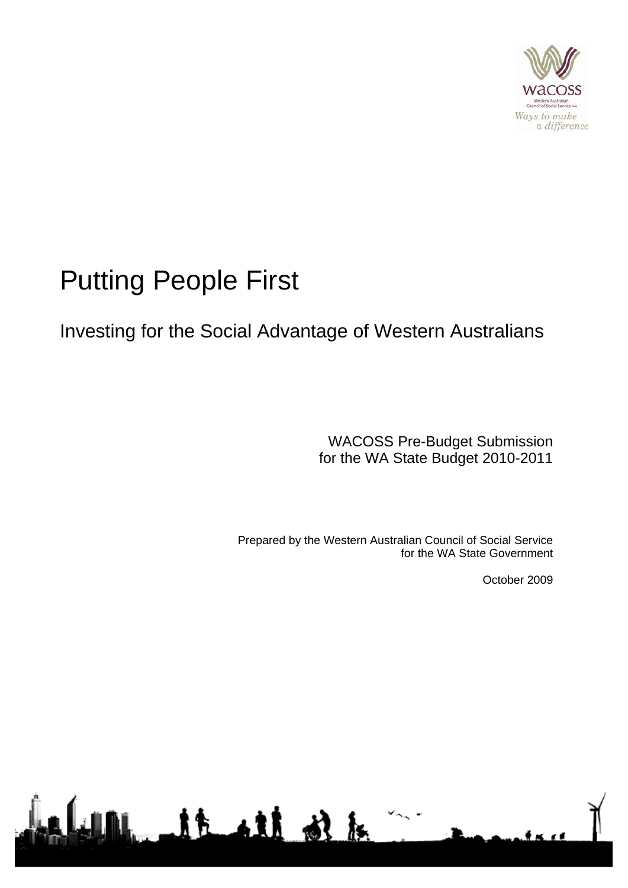

# Putting People First

# Investing for the Social Advantage of Western Australians

WACOSS Pre-Budget Submission for the WA State Budget 2010-2011

Prepared by the Western Australian Council of Social Service for the WA State Government

October 2009

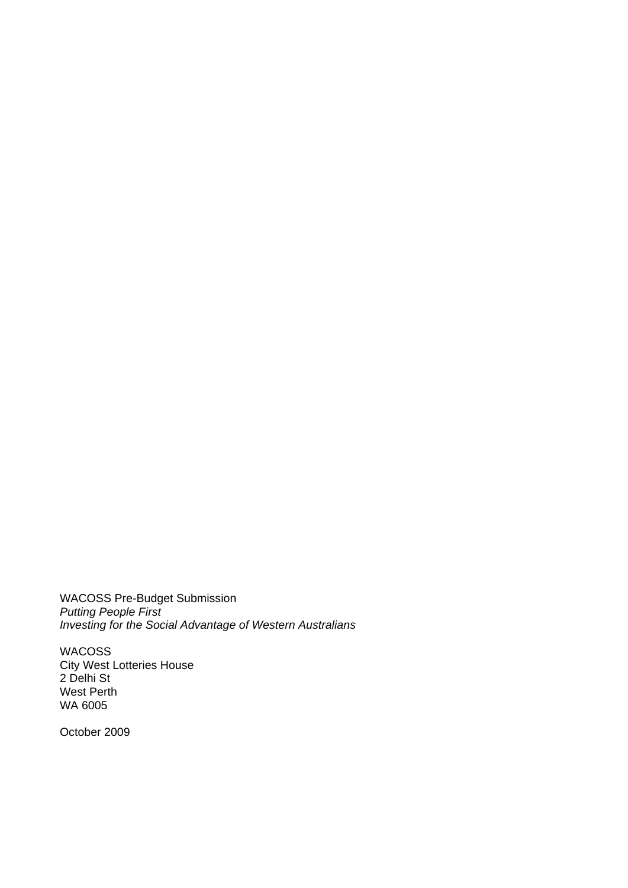WACOSS Pre-Budget Submission *Putting People First Investing for the Social Advantage of Western Australians* 

WACOSS City West Lotteries House 2 Delhi St West Perth WA 6005

October 2009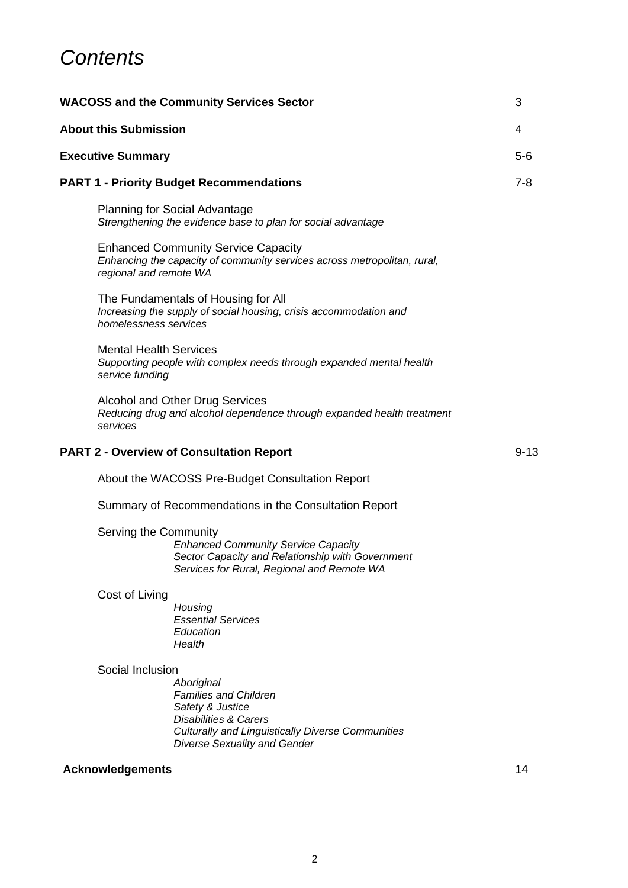### *Contents*

|                                                 | <b>WACOSS and the Community Services Sector</b>                                                                                                                                                                           | 3        |
|-------------------------------------------------|---------------------------------------------------------------------------------------------------------------------------------------------------------------------------------------------------------------------------|----------|
|                                                 | <b>About this Submission</b>                                                                                                                                                                                              | 4        |
|                                                 | <b>Executive Summary</b>                                                                                                                                                                                                  | $5-6$    |
| <b>PART 1 - Priority Budget Recommendations</b> |                                                                                                                                                                                                                           | $7 - 8$  |
|                                                 | <b>Planning for Social Advantage</b><br>Strengthening the evidence base to plan for social advantage                                                                                                                      |          |
|                                                 | <b>Enhanced Community Service Capacity</b><br>Enhancing the capacity of community services across metropolitan, rural,<br>regional and remote WA                                                                          |          |
|                                                 | The Fundamentals of Housing for All<br>Increasing the supply of social housing, crisis accommodation and<br>homelessness services                                                                                         |          |
|                                                 | <b>Mental Health Services</b><br>Supporting people with complex needs through expanded mental health<br>service funding                                                                                                   |          |
|                                                 | Alcohol and Other Drug Services<br>Reducing drug and alcohol dependence through expanded health treatment<br>services                                                                                                     |          |
|                                                 | <b>PART 2 - Overview of Consultation Report</b>                                                                                                                                                                           | $9 - 13$ |
|                                                 | About the WACOSS Pre-Budget Consultation Report                                                                                                                                                                           |          |
|                                                 | Summary of Recommendations in the Consultation Report                                                                                                                                                                     |          |
|                                                 | Serving the Community<br><b>Enhanced Community Service Capacity</b><br>Sector Capacity and Relationship with Government<br>Services for Rural, Regional and Remote WA                                                     |          |
|                                                 | Cost of Living<br>Housing<br><b>Essential Services</b><br>Education<br>Health                                                                                                                                             |          |
|                                                 | Social Inclusion<br>Aboriginal<br><b>Families and Children</b><br>Safety & Justice<br><b>Disabilities &amp; Carers</b><br><b>Culturally and Linguistically Diverse Communities</b><br><b>Diverse Sexuality and Gender</b> |          |

#### **Acknowledgements** 14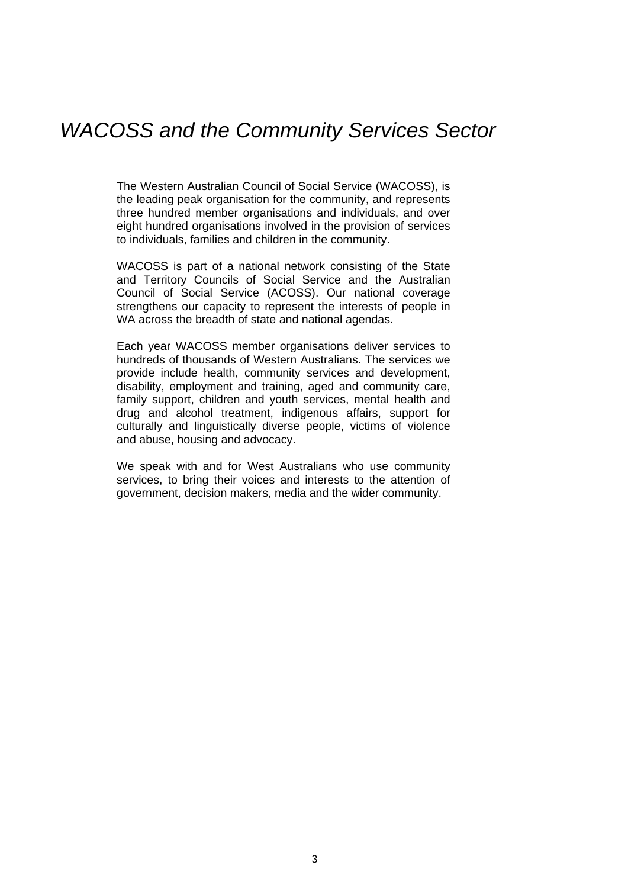### *WACOSS and the Community Services Sector*

The Western Australian Council of Social Service (WACOSS), is the leading peak organisation for the community, and represents three hundred member organisations and individuals, and over eight hundred organisations involved in the provision of services to individuals, families and children in the community.

WACOSS is part of a national network consisting of the State and Territory Councils of Social Service and the Australian Council of Social Service (ACOSS). Our national coverage strengthens our capacity to represent the interests of people in WA across the breadth of state and national agendas.

Each year WACOSS member organisations deliver services to hundreds of thousands of Western Australians. The services we provide include health, community services and development, disability, employment and training, aged and community care, family support, children and youth services, mental health and drug and alcohol treatment, indigenous affairs, support for culturally and linguistically diverse people, victims of violence and abuse, housing and advocacy.

We speak with and for West Australians who use community services, to bring their voices and interests to the attention of government, decision makers, media and the wider community.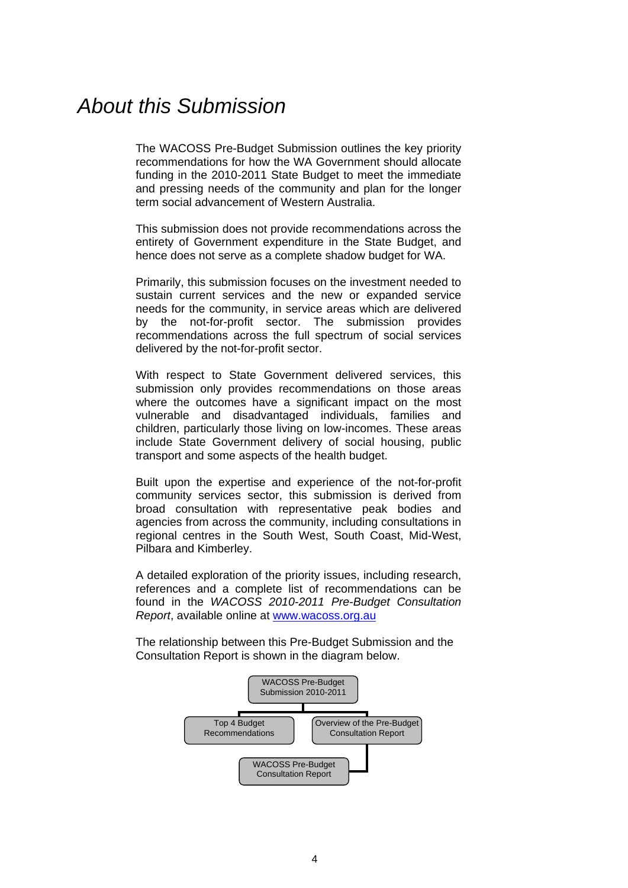### *About this Submission*

The WACOSS Pre-Budget Submission outlines the key priority recommendations for how the WA Government should allocate funding in the 2010-2011 State Budget to meet the immediate and pressing needs of the community and plan for the longer term social advancement of Western Australia.

This submission does not provide recommendations across the entirety of Government expenditure in the State Budget, and hence does not serve as a complete shadow budget for WA.

Primarily, this submission focuses on the investment needed to sustain current services and the new or expanded service needs for the community, in service areas which are delivered by the not-for-profit sector. The submission provides recommendations across the full spectrum of social services delivered by the not-for-profit sector.

With respect to State Government delivered services, this submission only provides recommendations on those areas where the outcomes have a significant impact on the most vulnerable and disadvantaged individuals, families and children, particularly those living on low-incomes. These areas include State Government delivery of social housing, public transport and some aspects of the health budget.

Built upon the expertise and experience of the not-for-profit community services sector, this submission is derived from broad consultation with representative peak bodies and agencies from across the community, including consultations in regional centres in the South West, South Coast, Mid-West, Pilbara and Kimberley.

A detailed exploration of the priority issues, including research, references and a complete list of recommendations can be found in the *WACOSS 2010-2011 Pre-Budget Consultation Report*, available online at [www.wacoss.org.au](http://www.wacoss.org.au/) 

The relationship between this Pre-Budget Submission and the Consultation Report is shown in the diagram below.

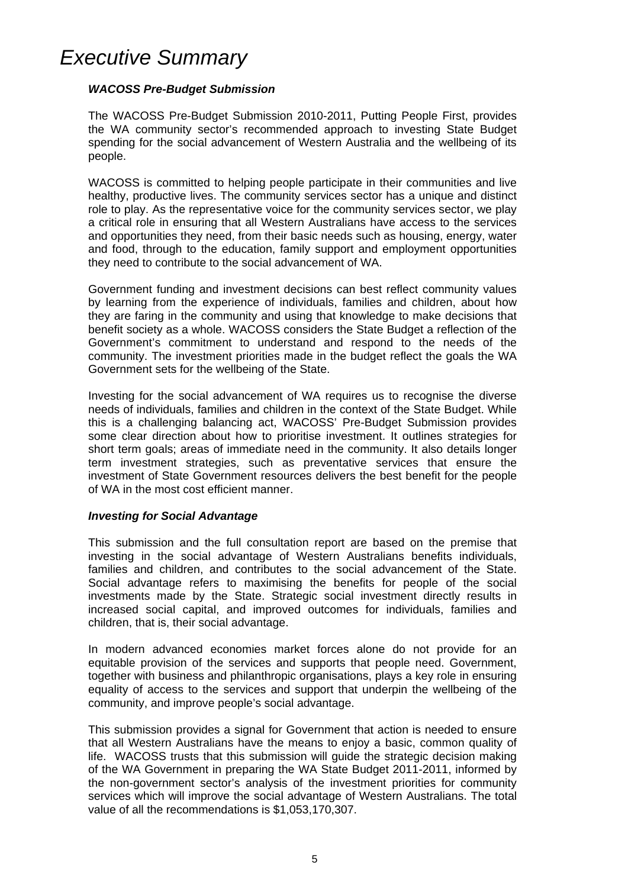### *Executive Summary*

#### *WACOSS Pre-Budget Submission*

The WACOSS Pre-Budget Submission 2010-2011, Putting People First, provides the WA community sector's recommended approach to investing State Budget spending for the social advancement of Western Australia and the wellbeing of its people.

WACOSS is committed to helping people participate in their communities and live healthy, productive lives. The community services sector has a unique and distinct role to play. As the representative voice for the community services sector, we play a critical role in ensuring that all Western Australians have access to the services and opportunities they need, from their basic needs such as housing, energy, water and food, through to the education, family support and employment opportunities they need to contribute to the social advancement of WA.

Government funding and investment decisions can best reflect community values by learning from the experience of individuals, families and children, about how they are faring in the community and using that knowledge to make decisions that benefit society as a whole. WACOSS considers the State Budget a reflection of the Government's commitment to understand and respond to the needs of the community. The investment priorities made in the budget reflect the goals the WA Government sets for the wellbeing of the State.

Investing for the social advancement of WA requires us to recognise the diverse needs of individuals, families and children in the context of the State Budget. While this is a challenging balancing act, WACOSS' Pre-Budget Submission provides some clear direction about how to prioritise investment. It outlines strategies for short term goals; areas of immediate need in the community. It also details longer term investment strategies, such as preventative services that ensure the investment of State Government resources delivers the best benefit for the people of WA in the most cost efficient manner.

#### *Investing for Social Advantage*

This submission and the full consultation report are based on the premise that investing in the social advantage of Western Australians benefits individuals, families and children, and contributes to the social advancement of the State. Social advantage refers to maximising the benefits for people of the social investments made by the State. Strategic social investment directly results in increased social capital, and improved outcomes for individuals, families and children, that is, their social advantage.

In modern advanced economies market forces alone do not provide for an equitable provision of the services and supports that people need. Government, together with business and philanthropic organisations, plays a key role in ensuring equality of access to the services and support that underpin the wellbeing of the community, and improve people's social advantage.

This submission provides a signal for Government that action is needed to ensure that all Western Australians have the means to enjoy a basic, common quality of life. WACOSS trusts that this submission will guide the strategic decision making of the WA Government in preparing the WA State Budget 2011-2011, informed by the non-government sector's analysis of the investment priorities for community services which will improve the social advantage of Western Australians. The total value of all the recommendations is \$1,053,170,307.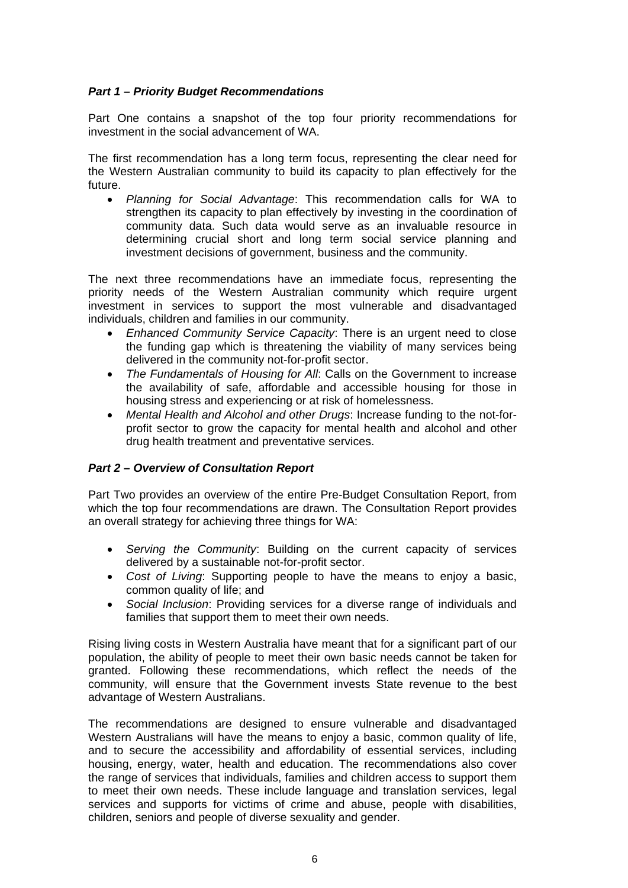#### *Part 1 – Priority Budget Recommendations*

Part One contains a snapshot of the top four priority recommendations for investment in the social advancement of WA.

The first recommendation has a long term focus, representing the clear need for the Western Australian community to build its capacity to plan effectively for the future.

• *Planning for Social Advantage*: This recommendation calls for WA to strengthen its capacity to plan effectively by investing in the coordination of community data. Such data would serve as an invaluable resource in determining crucial short and long term social service planning and investment decisions of government, business and the community.

The next three recommendations have an immediate focus, representing the priority needs of the Western Australian community which require urgent investment in services to support the most vulnerable and disadvantaged individuals, children and families in our community.

- *Enhanced Community Service Capacity*: There is an urgent need to close the funding gap which is threatening the viability of many services being delivered in the community not-for-profit sector.
- *The Fundamentals of Housing for All*: Calls on the Government to increase the availability of safe, affordable and accessible housing for those in housing stress and experiencing or at risk of homelessness.
- *Mental Health and Alcohol and other Drugs*: Increase funding to the not-forprofit sector to grow the capacity for mental health and alcohol and other drug health treatment and preventative services.

#### *Part 2 – Overview of Consultation Report*

Part Two provides an overview of the entire Pre-Budget Consultation Report, from which the top four recommendations are drawn. The Consultation Report provides an overall strategy for achieving three things for WA:

- *Serving the Community*: Building on the current capacity of services delivered by a sustainable not-for-profit sector.
- *Cost of Living*: Supporting people to have the means to enjoy a basic, common quality of life; and
- *Social Inclusion*: Providing services for a diverse range of individuals and families that support them to meet their own needs.

Rising living costs in Western Australia have meant that for a significant part of our population, the ability of people to meet their own basic needs cannot be taken for granted. Following these recommendations, which reflect the needs of the community, will ensure that the Government invests State revenue to the best advantage of Western Australians.

The recommendations are designed to ensure vulnerable and disadvantaged Western Australians will have the means to enjoy a basic, common quality of life, and to secure the accessibility and affordability of essential services, including housing, energy, water, health and education. The recommendations also cover the range of services that individuals, families and children access to support them to meet their own needs. These include language and translation services, legal services and supports for victims of crime and abuse, people with disabilities, children, seniors and people of diverse sexuality and gender.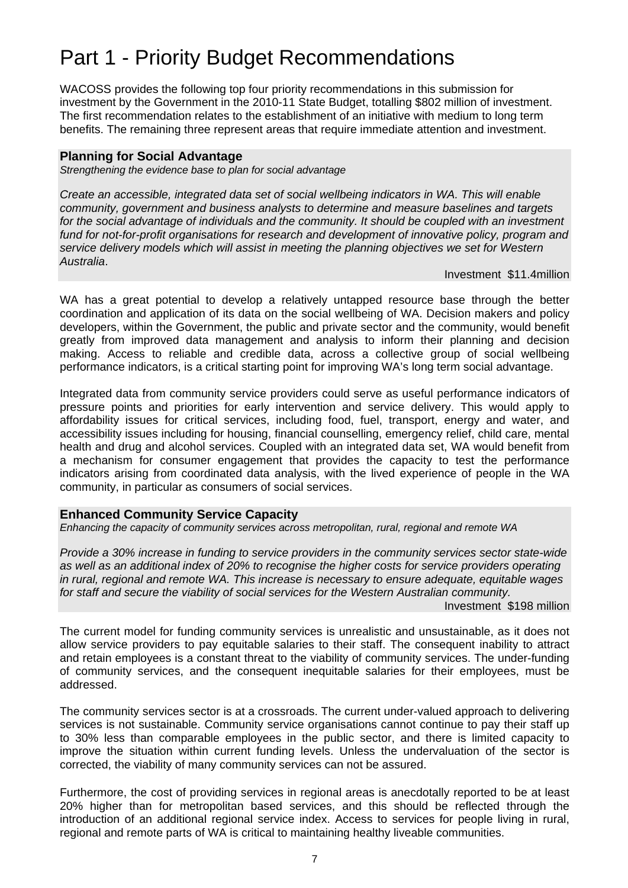# Part 1 - Priority Budget Recommendations

WACOSS provides the following top four priority recommendations in this submission for investment by the Government in the 2010-11 State Budget, totalling \$802 million of investment. The first recommendation relates to the establishment of an initiative with medium to long term benefits. The remaining three represent areas that require immediate attention and investment.

#### **Planning for Social Advantage**

*Strengthening the evidence base to plan for social advantage* 

*Create an accessible, integrated data set of social wellbeing indicators in WA. This will enable community, government and business analysts to determine and measure baselines and targets*  for the social advantage of individuals and the community. It should be coupled with an investment *fund for not-for-profit organisations for research and development of innovative policy, program and service delivery models which will assist in meeting the planning objectives we set for Western Australia*.

Investment \$11.4million

WA has a great potential to develop a relatively untapped resource base through the better coordination and application of its data on the social wellbeing of WA. Decision makers and policy developers, within the Government, the public and private sector and the community, would benefit greatly from improved data management and analysis to inform their planning and decision making. Access to reliable and credible data, across a collective group of social wellbeing performance indicators, is a critical starting point for improving WA's long term social advantage.

Integrated data from community service providers could serve as useful performance indicators of pressure points and priorities for early intervention and service delivery. This would apply to affordability issues for critical services, including food, fuel, transport, energy and water, and accessibility issues including for housing, financial counselling, emergency relief, child care, mental health and drug and alcohol services. Coupled with an integrated data set, WA would benefit from a mechanism for consumer engagement that provides the capacity to test the performance indicators arising from coordinated data analysis, with the lived experience of people in the WA community, in particular as consumers of social services.

#### **Enhanced Community Service Capacity**

*Enhancing the capacity of community services across metropolitan, rural, regional and remote WA* 

*Provide a 30% increase in funding to service providers in the community services sector state-wide as well as an additional index of 20% to recognise the higher costs for service providers operating in rural, regional and remote WA. This increase is necessary to ensure adequate, equitable wages for staff and secure the viability of social services for the Western Australian community.* 

Investment \$198 million

The current model for funding community services is unrealistic and unsustainable, as it does not allow service providers to pay equitable salaries to their staff. The consequent inability to attract and retain employees is a constant threat to the viability of community services. The under-funding of community services, and the consequent inequitable salaries for their employees, must be addressed.

The community services sector is at a crossroads. The current under-valued approach to delivering services is not sustainable. Community service organisations cannot continue to pay their staff up to 30% less than comparable employees in the public sector, and there is limited capacity to improve the situation within current funding levels. Unless the undervaluation of the sector is corrected, the viability of many community services can not be assured.

Furthermore, the cost of providing services in regional areas is anecdotally reported to be at least 20% higher than for metropolitan based services, and this should be reflected through the introduction of an additional regional service index. Access to services for people living in rural, regional and remote parts of WA is critical to maintaining healthy liveable communities.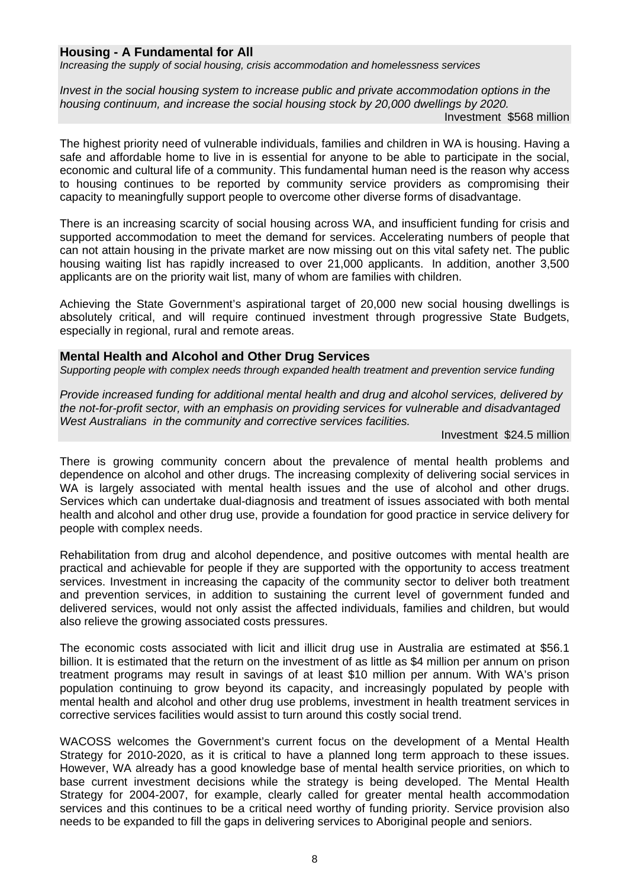#### **Housing - A Fundamental for All**

*Increasing the supply of social housing, crisis accommodation and homelessness services* 

*Invest in the social housing system to increase public and private accommodation options in the housing continuum, and increase the social housing stock by 20,000 dwellings by 2020.* 

Investment \$568 million

The highest priority need of vulnerable individuals, families and children in WA is housing. Having a safe and affordable home to live in is essential for anyone to be able to participate in the social, economic and cultural life of a community. This fundamental human need is the reason why access to housing continues to be reported by community service providers as compromising their capacity to meaningfully support people to overcome other diverse forms of disadvantage.

There is an increasing scarcity of social housing across WA, and insufficient funding for crisis and supported accommodation to meet the demand for services. Accelerating numbers of people that can not attain housing in the private market are now missing out on this vital safety net. The public housing waiting list has rapidly increased to over 21,000 applicants. In addition, another 3,500 applicants are on the priority wait list, many of whom are families with children.

Achieving the State Government's aspirational target of 20,000 new social housing dwellings is absolutely critical, and will require continued investment through progressive State Budgets, especially in regional, rural and remote areas.

#### **Mental Health and Alcohol and Other Drug Services**

*Supporting people with complex needs through expanded health treatment and prevention service funding* 

*Provide increased funding for additional mental health and drug and alcohol services, delivered by the not-for-profit sector, with an emphasis on providing services for vulnerable and disadvantaged West Australians in the community and corrective services facilities.* 

Investment \$24.5 million

There is growing community concern about the prevalence of mental health problems and dependence on alcohol and other drugs. The increasing complexity of delivering social services in WA is largely associated with mental health issues and the use of alcohol and other drugs. Services which can undertake dual-diagnosis and treatment of issues associated with both mental health and alcohol and other drug use, provide a foundation for good practice in service delivery for people with complex needs.

Rehabilitation from drug and alcohol dependence, and positive outcomes with mental health are practical and achievable for people if they are supported with the opportunity to access treatment services. Investment in increasing the capacity of the community sector to deliver both treatment and prevention services, in addition to sustaining the current level of government funded and delivered services, would not only assist the affected individuals, families and children, but would also relieve the growing associated costs pressures.

The economic costs associated with licit and illicit drug use in Australia are estimated at \$56.1 billion. It is estimated that the return on the investment of as little as \$4 million per annum on prison treatment programs may result in savings of at least \$10 million per annum. With WA's prison population continuing to grow beyond its capacity, and increasingly populated by people with mental health and alcohol and other drug use problems, investment in health treatment services in corrective services facilities would assist to turn around this costly social trend.

WACOSS welcomes the Government's current focus on the development of a Mental Health Strategy for 2010-2020, as it is critical to have a planned long term approach to these issues. However, WA already has a good knowledge base of mental health service priorities, on which to base current investment decisions while the strategy is being developed. The Mental Health Strategy for 2004-2007, for example, clearly called for greater mental health accommodation services and this continues to be a critical need worthy of funding priority. Service provision also needs to be expanded to fill the gaps in delivering services to Aboriginal people and seniors.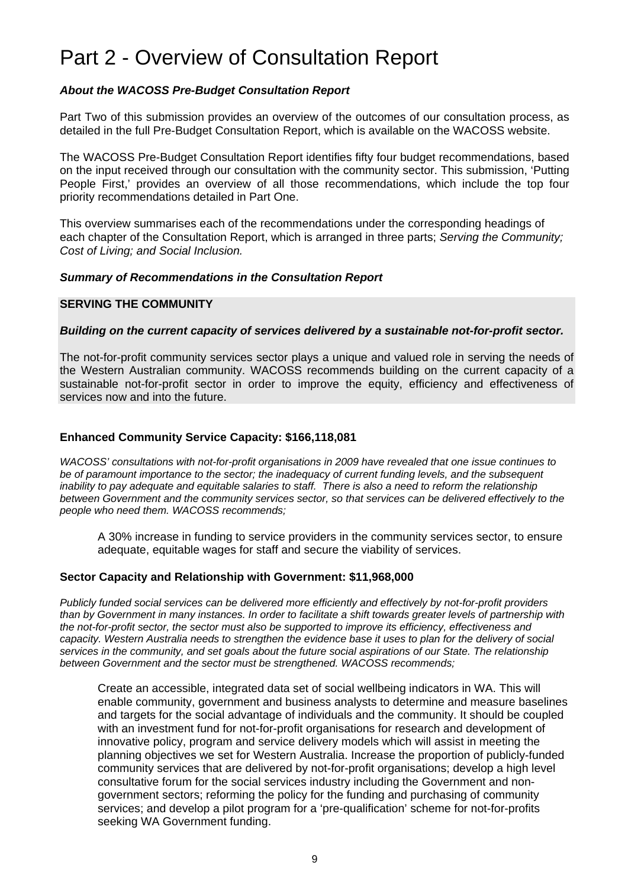# Part 2 - Overview of Consultation Report

#### *About the WACOSS Pre-Budget Consultation Report*

Part Two of this submission provides an overview of the outcomes of our consultation process, as detailed in the full Pre-Budget Consultation Report, which is available on the WACOSS website.

The WACOSS Pre-Budget Consultation Report identifies fifty four budget recommendations, based on the input received through our consultation with the community sector. This submission, 'Putting People First,' provides an overview of all those recommendations, which include the top four priority recommendations detailed in Part One.

This overview summarises each of the recommendations under the corresponding headings of each chapter of the Consultation Report, which is arranged in three parts; *Serving the Community; Cost of Living; and Social Inclusion.* 

#### *Summary of Recommendations in the Consultation Report*

#### **SERVING THE COMMUNITY**

#### *Building on the current capacity of services delivered by a sustainable not-for-profit sector.*

The not-for-profit community services sector plays a unique and valued role in serving the needs of the Western Australian community. WACOSS recommends building on the current capacity of a sustainable not-for-profit sector in order to improve the equity, efficiency and effectiveness of services now and into the future.

#### **Enhanced Community Service Capacity: \$166,118,081**

*WACOSS' consultations with not-for-profit organisations in 2009 have revealed that one issue continues to be of paramount importance to the sector; the inadequacy of current funding levels, and the subsequent inability to pay adequate and equitable salaries to staff. There is also a need to reform the relationship between Government and the community services sector, so that services can be delivered effectively to the people who need them. WACOSS recommends;* 

 A 30% increase in funding to service providers in the community services sector, to ensure adequate, equitable wages for staff and secure the viability of services.

#### **Sector Capacity and Relationship with Government: \$11,968,000**

*Publicly funded social services can be delivered more efficiently and effectively by not-for-profit providers than by Government in many instances. In order to facilitate a shift towards greater levels of partnership with the not-for-profit sector, the sector must also be supported to improve its efficiency, effectiveness and capacity. Western Australia needs to strengthen the evidence base it uses to plan for the delivery of social services in the community, and set goals about the future social aspirations of our State. The relationship between Government and the sector must be strengthened. WACOSS recommends;* 

Create an accessible, integrated data set of social wellbeing indicators in WA. This will enable community, government and business analysts to determine and measure baselines and targets for the social advantage of individuals and the community. It should be coupled with an investment fund for not-for-profit organisations for research and development of innovative policy, program and service delivery models which will assist in meeting the planning objectives we set for Western Australia. Increase the proportion of publicly-funded community services that are delivered by not-for-profit organisations; develop a high level consultative forum for the social services industry including the Government and nongovernment sectors; reforming the policy for the funding and purchasing of community services; and develop a pilot program for a 'pre-qualification' scheme for not-for-profits seeking WA Government funding.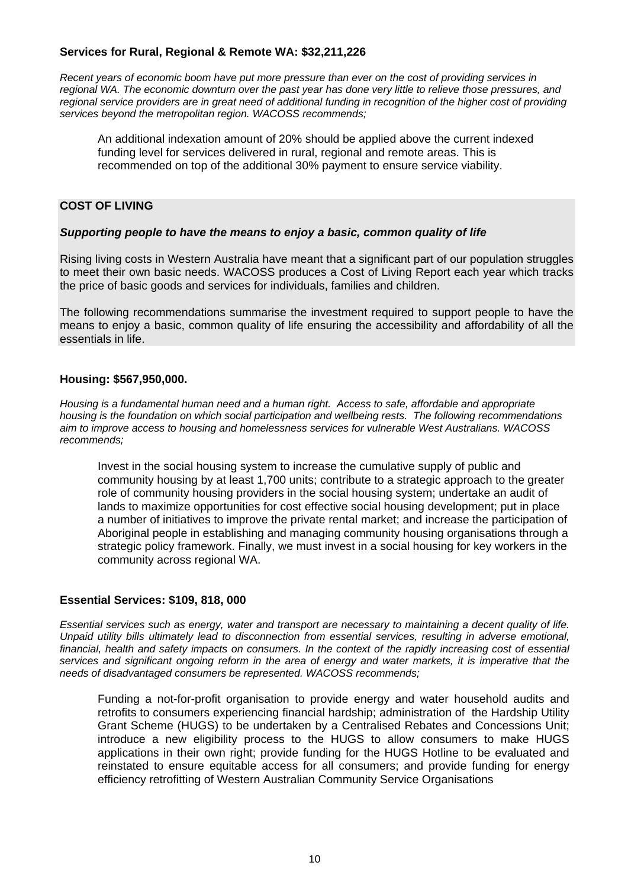#### **Services for Rural, Regional & Remote WA: \$32,211,226**

*Recent years of economic boom have put more pressure than ever on the cost of providing services in regional WA. The economic downturn over the past year has done very little to relieve those pressures, and regional service providers are in great need of additional funding in recognition of the higher cost of providing services beyond the metropolitan region. WACOSS recommends;* 

An additional indexation amount of 20% should be applied above the current indexed funding level for services delivered in rural, regional and remote areas. This is recommended on top of the additional 30% payment to ensure service viability.

#### **COST OF LIVING**

#### *Supporting people to have the means to enjoy a basic, common quality of life*

Rising living costs in Western Australia have meant that a significant part of our population struggles to meet their own basic needs. WACOSS produces a Cost of Living Report each year which tracks the price of basic goods and services for individuals, families and children.

The following recommendations summarise the investment required to support people to have the means to enjoy a basic, common quality of life ensuring the accessibility and affordability of all the essentials in life.

#### **Housing: \$567,950,000.**

*Housing is a fundamental human need and a human right. Access to safe, affordable and appropriate housing is the foundation on which social participation and wellbeing rests. The following recommendations aim to improve access to housing and homelessness services for vulnerable West Australians. WACOSS recommends;* 

Invest in the social housing system to increase the cumulative supply of public and community housing by at least 1,700 units; contribute to a strategic approach to the greater role of community housing providers in the social housing system; undertake an audit of lands to maximize opportunities for cost effective social housing development; put in place a number of initiatives to improve the private rental market; and increase the participation of Aboriginal people in establishing and managing community housing organisations through a strategic policy framework. Finally, we must invest in a social housing for key workers in the community across regional WA.

#### **Essential Services: \$109, 818, 000**

*Essential services such as energy, water and transport are necessary to maintaining a decent quality of life. Unpaid utility bills ultimately lead to disconnection from essential services, resulting in adverse emotional, financial, health and safety impacts on consumers. In the context of the rapidly increasing cost of essential services and significant ongoing reform in the area of energy and water markets, it is imperative that the needs of disadvantaged consumers be represented. WACOSS recommends;* 

 Funding a not-for-profit organisation to provide energy and water household audits and retrofits to consumers experiencing financial hardship; administration of the Hardship Utility Grant Scheme (HUGS) to be undertaken by a Centralised Rebates and Concessions Unit; introduce a new eligibility process to the HUGS to allow consumers to make HUGS applications in their own right; provide funding for the HUGS Hotline to be evaluated and reinstated to ensure equitable access for all consumers; and provide funding for energy efficiency retrofitting of Western Australian Community Service Organisations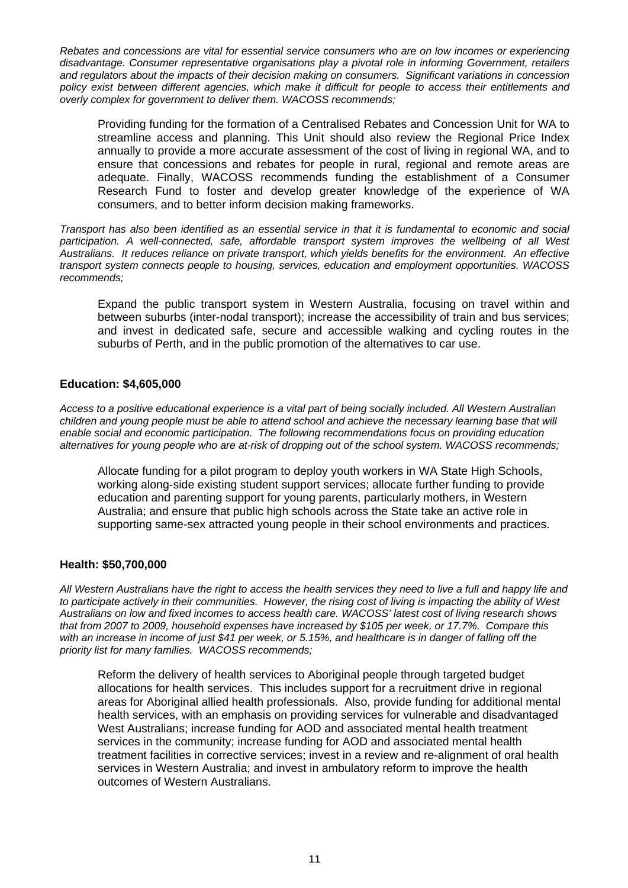*Rebates and concessions are vital for essential service consumers who are on low incomes or experiencing disadvantage. Consumer representative organisations play a pivotal role in informing Government, retailers and regulators about the impacts of their decision making on consumers. Significant variations in concession policy exist between different agencies, which make it difficult for people to access their entitlements and overly complex for government to deliver them. WACOSS recommends;* 

Providing funding for the formation of a Centralised Rebates and Concession Unit for WA to streamline access and planning. This Unit should also review the Regional Price Index annually to provide a more accurate assessment of the cost of living in regional WA, and to ensure that concessions and rebates for people in rural, regional and remote areas are adequate. Finally, WACOSS recommends funding the establishment of a Consumer Research Fund to foster and develop greater knowledge of the experience of WA consumers, and to better inform decision making frameworks.

*Transport has also been identified as an essential service in that it is fundamental to economic and social participation. A well-connected, safe, affordable transport system improves the wellbeing of all West Australians. It reduces reliance on private transport, which yields benefits for the environment. An effective transport system connects people to housing, services, education and employment opportunities. WACOSS recommends;* 

Expand the public transport system in Western Australia, focusing on travel within and between suburbs (inter-nodal transport); increase the accessibility of train and bus services; and invest in dedicated safe, secure and accessible walking and cycling routes in the suburbs of Perth, and in the public promotion of the alternatives to car use.

#### **Education: \$4,605,000**

*Access to a positive educational experience is a vital part of being socially included. All Western Australian children and young people must be able to attend school and achieve the necessary learning base that will enable social and economic participation. The following recommendations focus on providing education alternatives for young people who are at-risk of dropping out of the school system. WACOSS recommends;* 

 Allocate funding for a pilot program to deploy youth workers in WA State High Schools, working along-side existing student support services; allocate further funding to provide education and parenting support for young parents, particularly mothers, in Western Australia; and ensure that public high schools across the State take an active role in supporting same-sex attracted young people in their school environments and practices.

#### **Health: \$50,700,000**

*All Western Australians have the right to access the health services they need to live a full and happy life and to participate actively in their communities. However, the rising cost of living is impacting the ability of West Australians on low and fixed incomes to access health care. WACOSS' latest cost of living research shows that from 2007 to 2009, household expenses have increased by \$105 per week, or 17.7%. Compare this with an increase in income of just \$41 per week, or 5.15%, and healthcare is in danger of falling off the priority list for many families. WACOSS recommends;* 

 Reform the delivery of health services to Aboriginal people through targeted budget allocations for health services. This includes support for a recruitment drive in regional areas for Aboriginal allied health professionals. Also, provide funding for additional mental health services, with an emphasis on providing services for vulnerable and disadvantaged West Australians; increase funding for AOD and associated mental health treatment services in the community; increase funding for AOD and associated mental health treatment facilities in corrective services; invest in a review and re-alignment of oral health services in Western Australia; and invest in ambulatory reform to improve the health outcomes of Western Australians.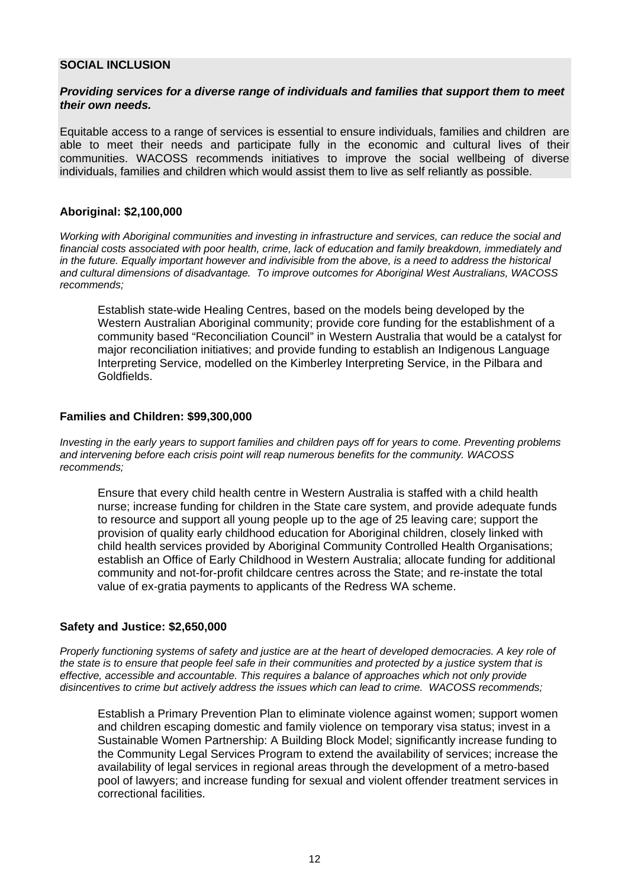#### **SOCIAL INCLUSION**

#### *Providing services for a diverse range of individuals and families that support them to meet their own needs.*

Equitable access to a range of services is essential to ensure individuals, families and children are able to meet their needs and participate fully in the economic and cultural lives of their communities. WACOSS recommends initiatives to improve the social wellbeing of diverse individuals, families and children which would assist them to live as self reliantly as possible.

#### **Aboriginal: \$2,100,000**

*Working with Aboriginal communities and investing in infrastructure and services, can reduce the social and financial costs associated with poor health, crime, lack of education and family breakdown, immediately and in the future. Equally important however and indivisible from the above, is a need to address the historical and cultural dimensions of disadvantage. To improve outcomes for Aboriginal West Australians, WACOSS recommends;*

 Establish state-wide Healing Centres, based on the models being developed by the Western Australian Aboriginal community; provide core funding for the establishment of a community based "Reconciliation Council" in Western Australia that would be a catalyst for major reconciliation initiatives; and provide funding to establish an Indigenous Language Interpreting Service, modelled on the Kimberley Interpreting Service, in the Pilbara and Goldfields.

#### **Families and Children: \$99,300,000**

*Investing in the early years to support families and children pays off for years to come. Preventing problems and intervening before each crisis point will reap numerous benefits for the community. WACOSS recommends;* 

Ensure that every child health centre in Western Australia is staffed with a child health nurse; increase funding for children in the State care system, and provide adequate funds to resource and support all young people up to the age of 25 leaving care; support the provision of quality early childhood education for Aboriginal children, closely linked with child health services provided by Aboriginal Community Controlled Health Organisations; establish an Office of Early Childhood in Western Australia; allocate funding for additional community and not-for-profit childcare centres across the State; and re-instate the total value of ex-gratia payments to applicants of the Redress WA scheme.

#### **Safety and Justice: \$2,650,000**

*Properly functioning systems of safety and justice are at the heart of developed democracies. A key role of the state is to ensure that people feel safe in their communities and protected by a justice system that is effective, accessible and accountable. This requires a balance of approaches which not only provide disincentives to crime but actively address the issues which can lead to crime. WACOSS recommends;* 

 Establish a Primary Prevention Plan to eliminate violence against women; support women and children escaping domestic and family violence on temporary visa status; invest in a Sustainable Women Partnership: A Building Block Model; significantly increase funding to the Community Legal Services Program to extend the availability of services; increase the availability of legal services in regional areas through the development of a metro-based pool of lawyers; and increase funding for sexual and violent offender treatment services in correctional facilities.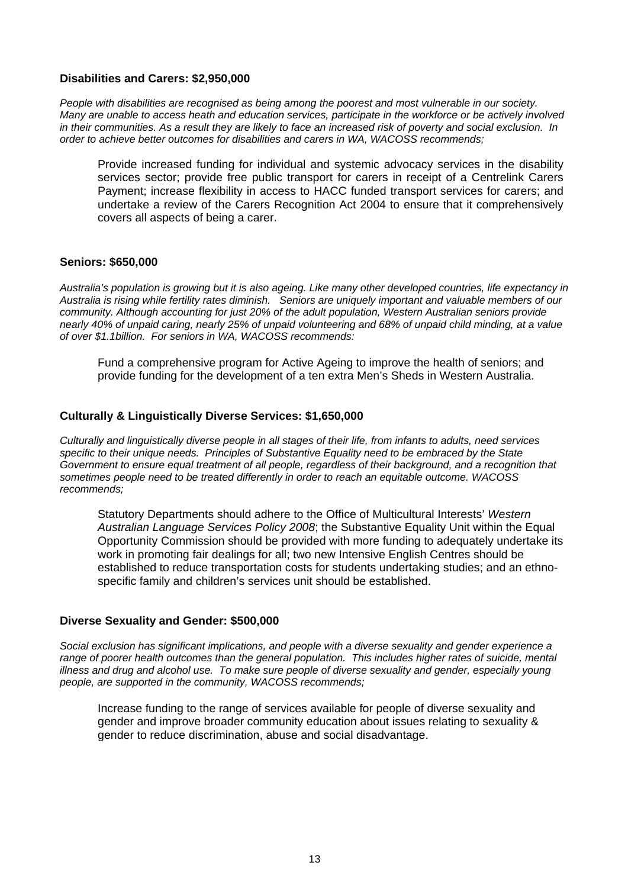#### **Disabilities and Carers: \$2,950,000**

*People with disabilities are recognised as being among the poorest and most vulnerable in our society. Many are unable to access heath and education services, participate in the workforce or be actively involved in their communities. As a result they are likely to face an increased risk of poverty and social exclusion. In order to achieve better outcomes for disabilities and carers in WA, WACOSS recommends;*

Provide increased funding for individual and systemic advocacy services in the disability services sector; provide free public transport for carers in receipt of a Centrelink Carers Payment; increase flexibility in access to HACC funded transport services for carers; and undertake a review of the Carers Recognition Act 2004 to ensure that it comprehensively covers all aspects of being a carer.

#### **Seniors: \$650,000**

*Australia's population is growing but it is also ageing. Like many other developed countries, life expectancy in Australia is rising while fertility rates diminish. Seniors are uniquely important and valuable members of our community. Although accounting for just 20% of the adult population, Western Australian seniors provide nearly 40% of unpaid caring, nearly 25% of unpaid volunteering and 68% of unpaid child minding, at a value of over \$1.1billion. For seniors in WA, WACOSS recommends:* 

Fund a comprehensive program for Active Ageing to improve the health of seniors; and provide funding for the development of a ten extra Men's Sheds in Western Australia.

#### **Culturally & Linguistically Diverse Services: \$1,650,000**

*Culturally and linguistically diverse people in all stages of their life, from infants to adults, need services specific to their unique needs. Principles of Substantive Equality need to be embraced by the State Government to ensure equal treatment of all people, regardless of their background, and a recognition that sometimes people need to be treated differently in order to reach an equitable outcome. WACOSS recommends;* 

Statutory Departments should adhere to the Office of Multicultural Interests' *Western Australian Language Services Policy 2008*; the Substantive Equality Unit within the Equal Opportunity Commission should be provided with more funding to adequately undertake its work in promoting fair dealings for all; two new Intensive English Centres should be established to reduce transportation costs for students undertaking studies; and an ethnospecific family and children's services unit should be established.

#### **Diverse Sexuality and Gender: \$500,000**

*Social exclusion has significant implications, and people with a diverse sexuality and gender experience a*  range of poorer health outcomes than the general population. This includes higher rates of suicide, mental *illness and drug and alcohol use. To make sure people of diverse sexuality and gender, especially young people, are supported in the community, WACOSS recommends;* 

Increase funding to the range of services available for people of diverse sexuality and gender and improve broader community education about issues relating to sexuality & gender to reduce discrimination, abuse and social disadvantage.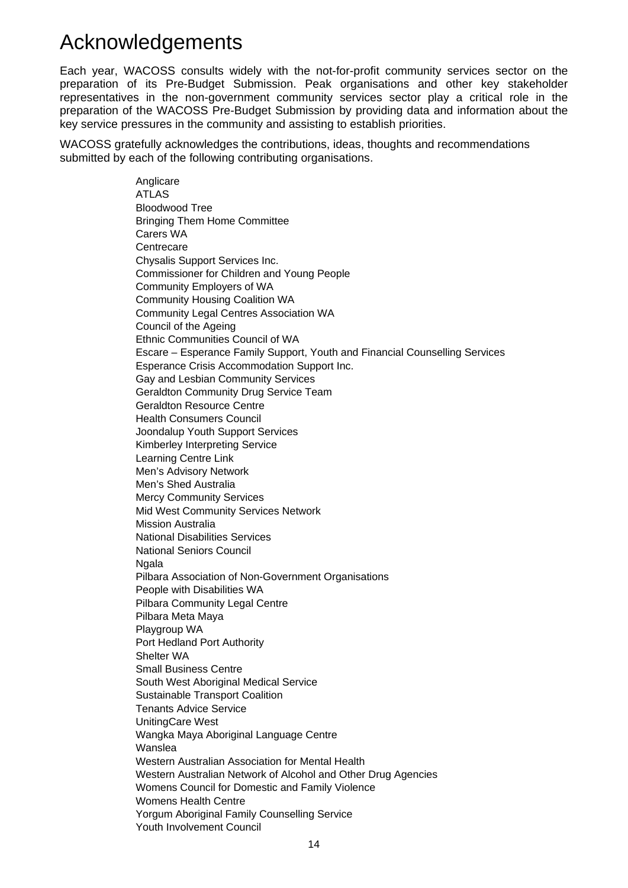# Acknowledgements

Each year, WACOSS consults widely with the not-for-profit community services sector on the preparation of its Pre-Budget Submission. Peak organisations and other key stakeholder representatives in the non-government community services sector play a critical role in the preparation of the WACOSS Pre-Budget Submission by providing data and information about the key service pressures in the community and assisting to establish priorities.

WACOSS gratefully acknowledges the contributions, ideas, thoughts and recommendations submitted by each of the following contributing organisations.

> **Anglicare** ATLAS Bloodwood Tree Bringing Them Home Committee Carers WA Centrecare Chysalis Support Services Inc. Commissioner for Children and Young People Community Employers of WA Community Housing Coalition WA Community Legal Centres Association WA Council of the Ageing Ethnic Communities Council of WA Escare – Esperance Family Support, Youth and Financial Counselling Services Esperance Crisis Accommodation Support Inc. Gay and Lesbian Community Services Geraldton Community Drug Service Team Geraldton Resource Centre Health Consumers Council Joondalup Youth Support Services Kimberley Interpreting Service Learning Centre Link Men's Advisory Network Men's Shed Australia Mercy Community Services Mid West Community Services Network Mission Australia National Disabilities Services National Seniors Council Ngala Pilbara Association of Non-Government Organisations People with Disabilities WA Pilbara Community Legal Centre Pilbara Meta Maya Playgroup WA Port Hedland Port Authority Shelter WA Small Business Centre South West Aboriginal Medical Service Sustainable Transport Coalition Tenants Advice Service UnitingCare West Wangka Maya Aboriginal Language Centre Wanslea Western Australian Association for Mental Health Western Australian Network of Alcohol and Other Drug Agencies Womens Council for Domestic and Family Violence Womens Health Centre Yorgum Aboriginal Family Counselling Service Youth Involvement Council